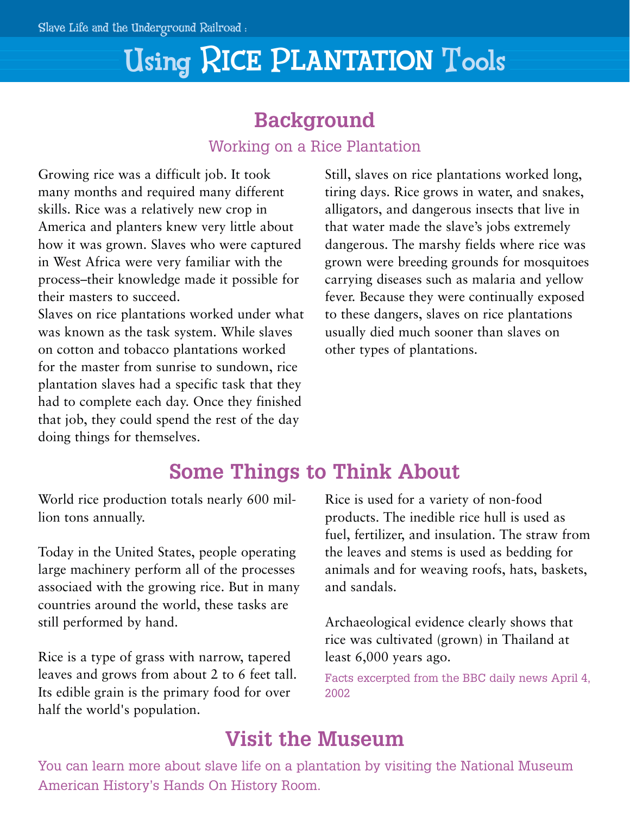# Using RICE PLANTATION Tools

## **Background**

### Working on a Rice Plantation

Growing rice was a difficult job. It took many months and required many different skills. Rice was a relatively new crop in America and planters knew very little about how it was grown. Slaves who were captured in West Africa were very familiar with the process–their knowledge made it possible for their masters to succeed.

Slaves on rice plantations worked under what was known as the task system. While slaves on cotton and tobacco plantations worked for the master from sunrise to sundown, rice plantation slaves had a specific task that they had to complete each day. Once they finished that job, they could spend the rest of the day doing things for themselves.

Still, slaves on rice plantations worked long, tiring days. Rice grows in water, and snakes, alligators, and dangerous insects that live in that water made the slave's jobs extremely dangerous. The marshy fields where rice was grown were breeding grounds for mosquitoes carrying diseases such as malaria and yellow fever. Because they were continually exposed to these dangers, slaves on rice plantations usually died much sooner than slaves on other types of plantations.

## **Some Things to Think About**

World rice production totals nearly 600 million tons annually.

Today in the United States, people operating large machinery perform all of the processes associaed with the growing rice. But in many countries around the world, these tasks are still performed by hand.

Rice is a type of grass with narrow, tapered leaves and grows from about 2 to 6 feet tall. Its edible grain is the primary food for over half the world's population.

Rice is used for a variety of non-food products. The inedible rice hull is used as fuel, fertilizer, and insulation. The straw from the leaves and stems is used as bedding for animals and for weaving roofs, hats, baskets, and sandals.

Archaeological evidence clearly shows that rice was cultivated (grown) in Thailand at least 6,000 years ago.

Facts excerpted from the BBC daily news April 4, 2002

## **Visit the Museum**

You can learn more about slave life on a plantation by visiting the National Museum American History's Hands On History Room.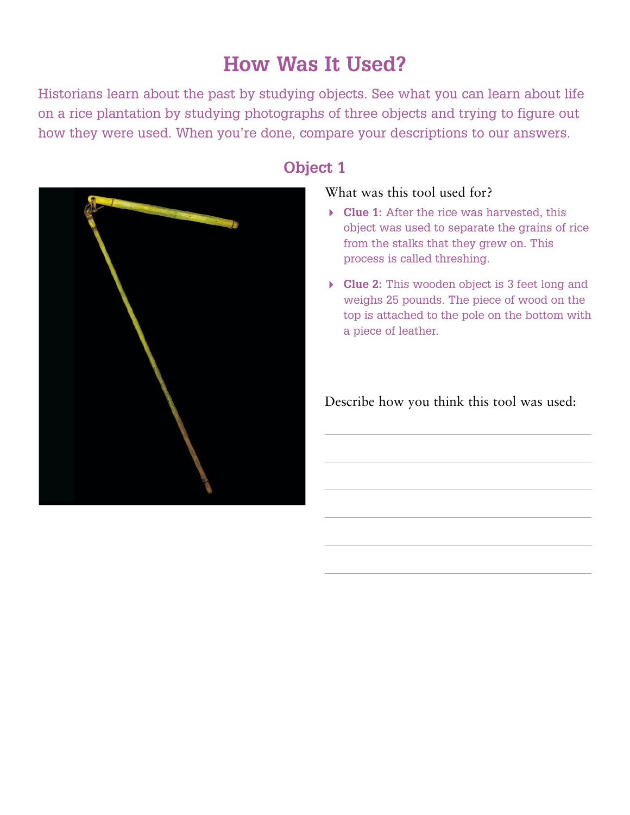## **How Was It Used?**

Historians learn about the past by studying objects. See what you can learn about life on a rice plantation by studying photographs of three objects and trying to figure out how they were used. When you're done, compare your descriptions to our answers.



### **Object 1**

#### What was this tool used for?

- **Clue 1:** After the rice was harvested, this object was used to separate the grains of rice from the stalks that they grew on. This process is called threshing.
- **Clue 2:** This wooden object is 3 feet long and weighs 25 pounds. The piece of wood on the top is attached to the pole on the bottom with a piece of leather.

Describe how you think this tool was used: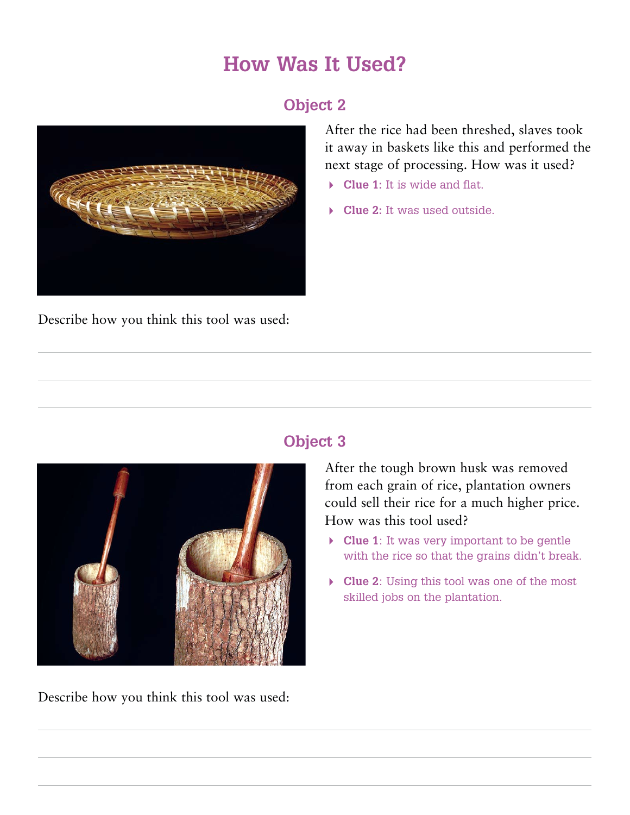## **How Was It Used?**

### **Object 2**



Describe how you think this tool was used:

After the rice had been threshed, slaves took it away in baskets like this and performed the next stage of processing. How was it used?

- **Clue 1:** It is wide and flat.
- **Clue 2:** It was used outside.



Describe how you think this tool was used:

### **Object 3**

After the tough brown husk was removed from each grain of rice, plantation owners could sell their rice for a much higher price. How was this tool used?

- **Clue 1**: It was very important to be gentle with the rice so that the grains didn't break.
- **Clue 2**: Using this tool was one of the most skilled jobs on the plantation.